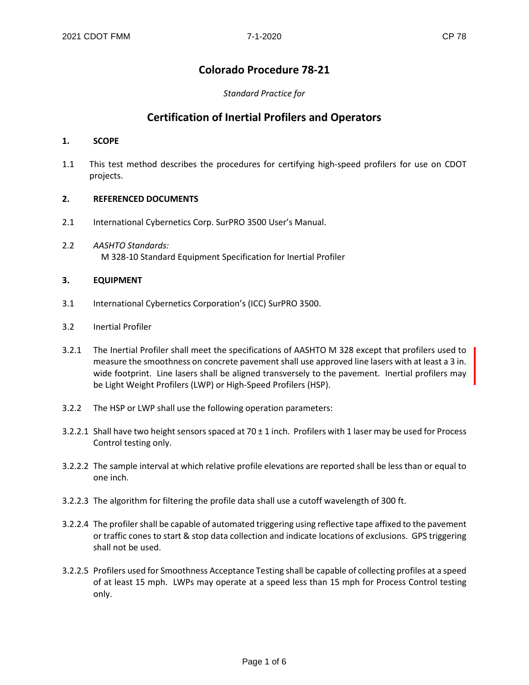# **Colorado Procedure 78-21**

# *Standard Practice for*

# **Certification of Inertial Profilers and Operators**

# **1. SCOPE**

1.1 This test method describes the procedures for certifying high-speed profilers for use on CDOT projects.

# **2. REFERENCED DOCUMENTS**

- 2.1 International Cybernetics Corp. SurPRO 3500 User's Manual.
- 2.2 *AASHTO Standards:* M 328-10 Standard Equipment Specification for Inertial Profiler

# **3. EQUIPMENT**

- 3.1 International Cybernetics Corporation's (ICC) SurPRO 3500.
- 3.2 Inertial Profiler
- 3.2.1 The Inertial Profiler shall meet the specifications of AASHTO M 328 except that profilers used to measure the smoothness on concrete pavement shall use approved line lasers with at least a 3 in. wide footprint. Line lasers shall be aligned transversely to the pavement. Inertial profilers may be Light Weight Profilers (LWP) or High-Speed Profilers (HSP).
- 3.2.2 The HSP or LWP shall use the following operation parameters:
- 3.2.2.1 Shall have two height sensors spaced at 70 ± 1 inch. Profilers with 1 laser may be used for Process Control testing only.
- 3.2.2.2 The sample interval at which relative profile elevations are reported shall be less than or equal to one inch.
- 3.2.2.3 The algorithm for filtering the profile data shall use a cutoff wavelength of 300 ft.
- 3.2.2.4 The profiler shall be capable of automated triggering using reflective tape affixed to the pavement or traffic cones to start & stop data collection and indicate locations of exclusions. GPS triggering shall not be used.
- 3.2.2.5 Profilers used for Smoothness Acceptance Testing shall be capable of collecting profiles at a speed of at least 15 mph. LWPs may operate at a speed less than 15 mph for Process Control testing only.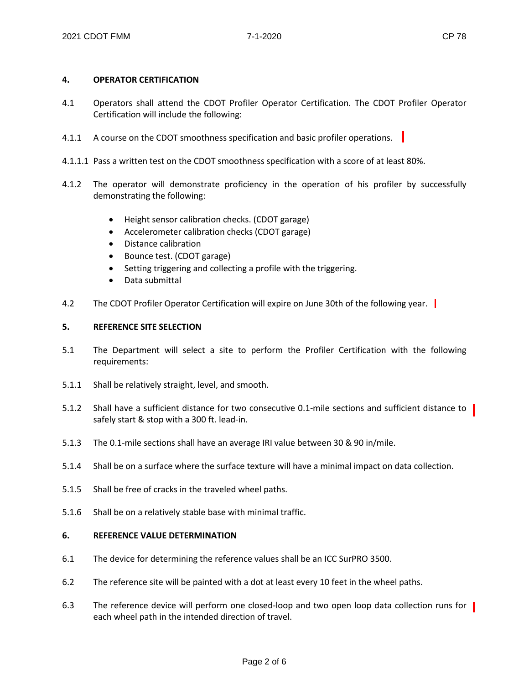# **4. OPERATOR CERTIFICATION**

- 4.1 Operators shall attend the CDOT Profiler Operator Certification. The CDOT Profiler Operator Certification will include the following:
- 4.1.1 A course on the CDOT smoothness specification and basic profiler operations.
- 4.1.1.1 Pass a written test on the CDOT smoothness specification with a score of at least 80%.
- 4.1.2 The operator will demonstrate proficiency in the operation of his profiler by successfully demonstrating the following:
	- Height sensor calibration checks. (CDOT garage)
	- Accelerometer calibration checks (CDOT garage)
	- Distance calibration
	- Bounce test. (CDOT garage)
	- Setting triggering and collecting a profile with the triggering.
	- Data submittal
- 4.2 The CDOT Profiler Operator Certification will expire on June 30th of the following year.

#### **5. REFERENCE SITE SELECTION**

- 5.1 The Department will select a site to perform the Profiler Certification with the following requirements:
- 5.1.1 Shall be relatively straight, level, and smooth.
- 5.1.2 Shall have a sufficient distance for two consecutive 0.1-mile sections and sufficient distance to | safely start & stop with a 300 ft. lead-in.
- 5.1.3 The 0.1-mile sections shall have an average IRI value between 30 & 90 in/mile.
- 5.1.4 Shall be on a surface where the surface texture will have a minimal impact on data collection.
- 5.1.5 Shall be free of cracks in the traveled wheel paths.
- 5.1.6 Shall be on a relatively stable base with minimal traffic.

#### **6. REFERENCE VALUE DETERMINATION**

- 6.1 The device for determining the reference values shall be an ICC SurPRO 3500.
- 6.2 The reference site will be painted with a dot at least every 10 feet in the wheel paths.
- 6.3 The reference device will perform one closed-loop and two open loop data collection runs for | each wheel path in the intended direction of travel.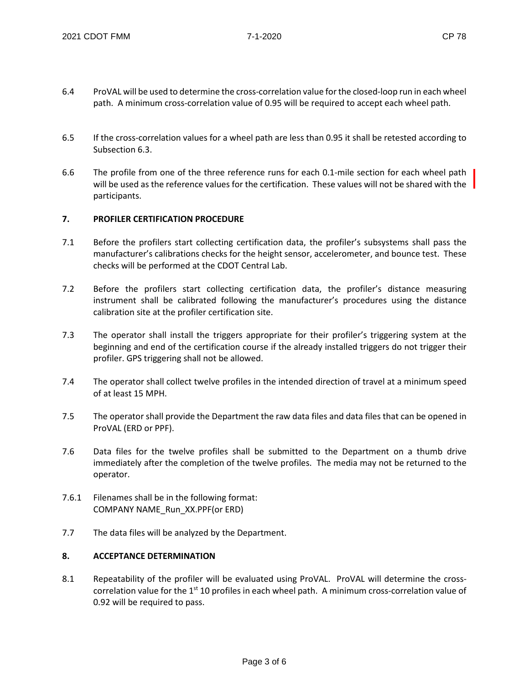- 6.4 ProVAL will be used to determine the cross-correlation value for the closed-loop run in each wheel path. A minimum cross-correlation value of 0.95 will be required to accept each wheel path.
- 6.5 If the cross-correlation values for a wheel path are less than 0.95 it shall be retested according to Subsection 6.3.
- 6.6 The profile from one of the three reference runs for each 0.1-mile section for each wheel path will be used as the reference values for the certification. These values will not be shared with the participants.

## **7. PROFILER CERTIFICATION PROCEDURE**

- 7.1 Before the profilers start collecting certification data, the profiler's subsystems shall pass the manufacturer's calibrations checks for the height sensor, accelerometer, and bounce test. These checks will be performed at the CDOT Central Lab.
- 7.2 Before the profilers start collecting certification data, the profiler's distance measuring instrument shall be calibrated following the manufacturer's procedures using the distance calibration site at the profiler certification site.
- 7.3 The operator shall install the triggers appropriate for their profiler's triggering system at the beginning and end of the certification course if the already installed triggers do not trigger their profiler. GPS triggering shall not be allowed.
- 7.4 The operator shall collect twelve profiles in the intended direction of travel at a minimum speed of at least 15 MPH.
- 7.5 The operator shall provide the Department the raw data files and data files that can be opened in ProVAL (ERD or PPF).
- 7.6 Data files for the twelve profiles shall be submitted to the Department on a thumb drive immediately after the completion of the twelve profiles. The media may not be returned to the operator.
- 7.6.1 Filenames shall be in the following format: COMPANY NAME\_Run\_XX.PPF(or ERD)
- 7.7 The data files will be analyzed by the Department.

# **8. ACCEPTANCE DETERMINATION**

8.1 Repeatability of the profiler will be evaluated using ProVAL. ProVAL will determine the crosscorrelation value for the 1<sup>st</sup> 10 profiles in each wheel path. A minimum cross-correlation value of 0.92 will be required to pass.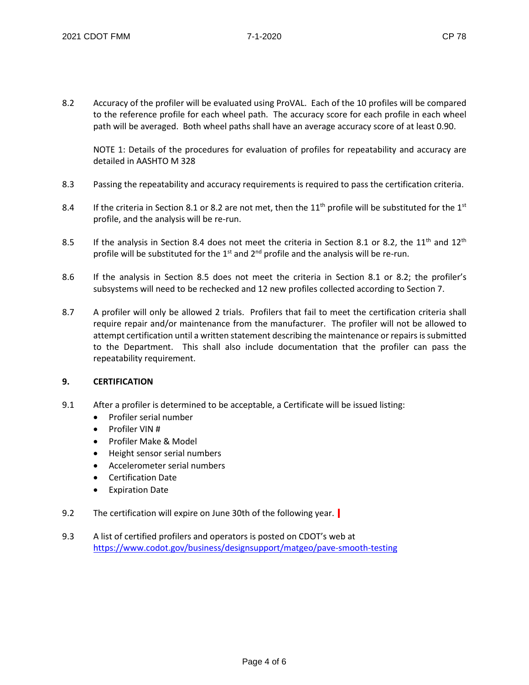8.2 Accuracy of the profiler will be evaluated using ProVAL. Each of the 10 profiles will be compared to the reference profile for each wheel path. The accuracy score for each profile in each wheel path will be averaged. Both wheel paths shall have an average accuracy score of at least 0.90.

NOTE 1: Details of the procedures for evaluation of profiles for repeatability and accuracy are detailed in AASHTO M 328

- 8.3 Passing the repeatability and accuracy requirements is required to pass the certification criteria.
- 8.4 If the criteria in Section 8.1 or 8.2 are not met, then the  $11<sup>th</sup>$  profile will be substituted for the  $1<sup>st</sup>$ profile, and the analysis will be re-run.
- 8.5 If the analysis in Section 8.4 does not meet the criteria in Section 8.1 or 8.2, the 11<sup>th</sup> and 12<sup>th</sup> profile will be substituted for the  $1<sup>st</sup>$  and  $2<sup>nd</sup>$  profile and the analysis will be re-run.
- 8.6 If the analysis in Section 8.5 does not meet the criteria in Section 8.1 or 8.2; the profiler's subsystems will need to be rechecked and 12 new profiles collected according to Section 7.
- 8.7 A profiler will only be allowed 2 trials. Profilers that fail to meet the certification criteria shall require repair and/or maintenance from the manufacturer. The profiler will not be allowed to attempt certification until a written statement describing the maintenance or repairs is submitted to the Department. This shall also include documentation that the profiler can pass the repeatability requirement.

## **9. CERTIFICATION**

- 9.1 After a profiler is determined to be acceptable, a Certificate will be issued listing:
	- Profiler serial number
	- Profiler VIN #
	- Profiler Make & Model
	- Height sensor serial numbers
	- Accelerometer serial numbers
	- Certification Date
	- Expiration Date
- 9.2 The certification will expire on June 30th of the following year.
- 9.3 A list of certified profilers and operators is posted on CDOT's web at <https://www.codot.gov/business/designsupport/matgeo/pave-smooth-testing>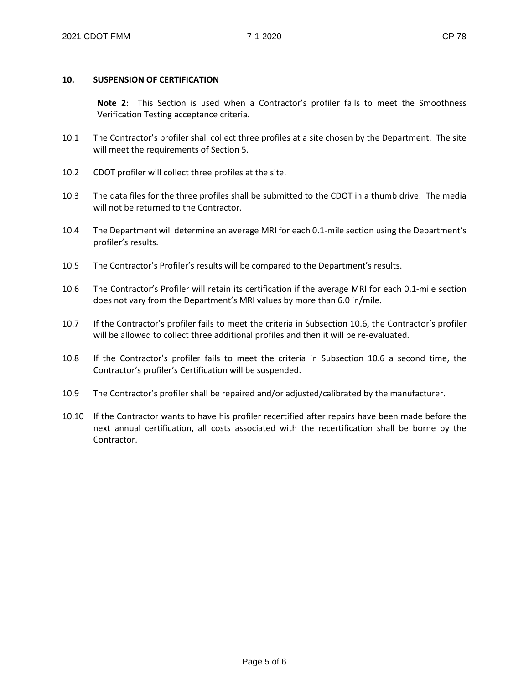#### **10. SUSPENSION OF CERTIFICATION**

**Note 2**: This Section is used when a Contractor's profiler fails to meet the Smoothness Verification Testing acceptance criteria.

- 10.1 The Contractor's profiler shall collect three profiles at a site chosen by the Department. The site will meet the requirements of Section 5.
- 10.2 CDOT profiler will collect three profiles at the site.
- 10.3 The data files for the three profiles shall be submitted to the CDOT in a thumb drive. The media will not be returned to the Contractor.
- 10.4 The Department will determine an average MRI for each 0.1-mile section using the Department's profiler's results.
- 10.5 The Contractor's Profiler's results will be compared to the Department's results.
- 10.6 The Contractor's Profiler will retain its certification if the average MRI for each 0.1-mile section does not vary from the Department's MRI values by more than 6.0 in/mile.
- 10.7 If the Contractor's profiler fails to meet the criteria in Subsection 10.6, the Contractor's profiler will be allowed to collect three additional profiles and then it will be re-evaluated.
- 10.8 If the Contractor's profiler fails to meet the criteria in Subsection 10.6 a second time, the Contractor's profiler's Certification will be suspended.
- 10.9 The Contractor's profiler shall be repaired and/or adjusted/calibrated by the manufacturer.
- 10.10 If the Contractor wants to have his profiler recertified after repairs have been made before the next annual certification, all costs associated with the recertification shall be borne by the Contractor.